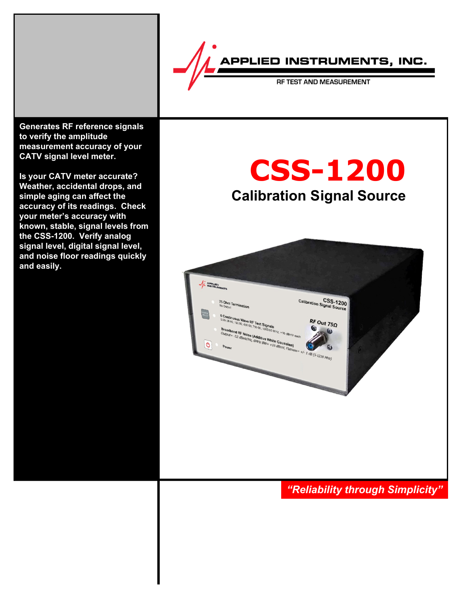

**Generates RF reference signals to verify the amplitude measurement accuracy of your CATV signal level meter.**

**Is your CATV meter accurate? Weather, accidental drops, and simple aging can affect the accuracy of its readings. Check your meter's accuracy with known, stable, signal levels from the CSS-1200. Verify analog signal level, digital signal level, and noise floor readings quickly and easily.**

# **CSS-1200 Calibration Signal Source**



# *"Reliability through Simplicity"*